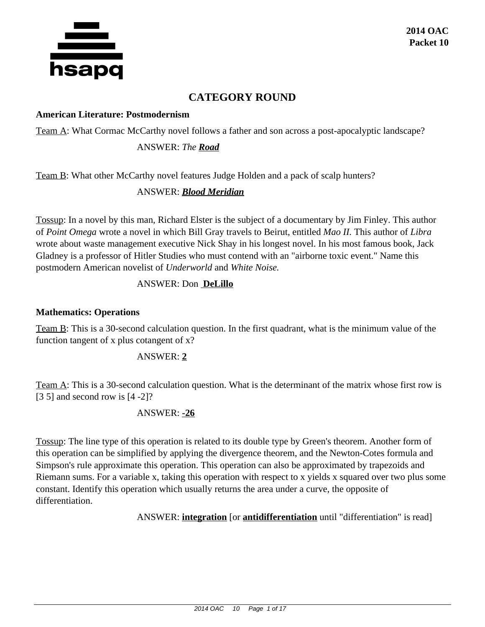

# **CATEGORY ROUND**

### **American Literature: Postmodernism**

Team A: What Cormac McCarthy novel follows a father and son across a post-apocalyptic landscape?

### ANSWER: *The Road*

Team B: What other McCarthy novel features Judge Holden and a pack of scalp hunters?

## ANSWER: *Blood Meridian*

Tossup: In a novel by this man, Richard Elster is the subject of a documentary by Jim Finley. This author of *Point Omega* wrote a novel in which Bill Gray travels to Beirut, entitled *Mao II.* This author of *Libra* wrote about waste management executive Nick Shay in his longest novel. In his most famous book, Jack Gladney is a professor of Hitler Studies who must contend with an "airborne toxic event." Name this postmodern American novelist of *Underworld* and *White Noise.*

## ANSWER: Don **DeLillo**

### **Mathematics: Operations**

Team B: This is a 30-second calculation question. In the first quadrant, what is the minimum value of the function tangent of x plus cotangent of x?

## ANSWER: **2**

Team A: This is a 30-second calculation question. What is the determinant of the matrix whose first row is [3 5] and second row is [4 -2]?

## ANSWER: **-26**

Tossup: The line type of this operation is related to its double type by Green's theorem. Another form of this operation can be simplified by applying the divergence theorem, and the Newton-Cotes formula and Simpson's rule approximate this operation. This operation can also be approximated by trapezoids and Riemann sums. For a variable x, taking this operation with respect to x yields x squared over two plus some constant. Identify this operation which usually returns the area under a curve, the opposite of differentiation.

ANSWER: **integration** [or **antidifferentiation** until "differentiation" is read]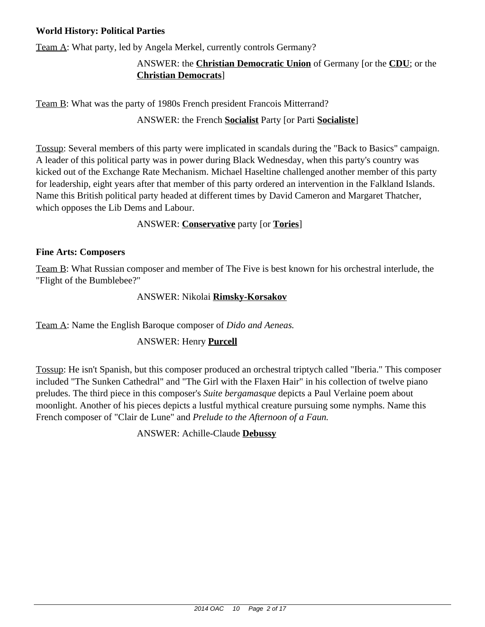## **World History: Political Parties**

Team A: What party, led by Angela Merkel, currently controls Germany?

## ANSWER: the **Christian Democratic Union** of Germany [or the **CDU**; or the **Christian Democrats**]

Team B: What was the party of 1980s French president Francois Mitterrand?

ANSWER: the French **Socialist** Party [or Parti **Socialiste**]

Tossup: Several members of this party were implicated in scandals during the "Back to Basics" campaign. A leader of this political party was in power during Black Wednesday, when this party's country was kicked out of the Exchange Rate Mechanism. Michael Haseltine challenged another member of this party for leadership, eight years after that member of this party ordered an intervention in the Falkland Islands. Name this British political party headed at different times by David Cameron and Margaret Thatcher, which opposes the Lib Dems and Labour.

ANSWER: **Conservative** party [or **Tories**]

## **Fine Arts: Composers**

Team B: What Russian composer and member of The Five is best known for his orchestral interlude, the "Flight of the Bumblebee?"

## ANSWER: Nikolai **Rimsky-Korsakov**

Team A: Name the English Baroque composer of *Dido and Aeneas.*

## ANSWER: Henry **Purcell**

Tossup: He isn't Spanish, but this composer produced an orchestral triptych called "Iberia." This composer included "The Sunken Cathedral" and "The Girl with the Flaxen Hair" in his collection of twelve piano preludes. The third piece in this composer's *Suite bergamasque* depicts a Paul Verlaine poem about moonlight. Another of his pieces depicts a lustful mythical creature pursuing some nymphs. Name this French composer of "Clair de Lune" and *Prelude to the Afternoon of a Faun.*

## ANSWER: Achille-Claude **Debussy**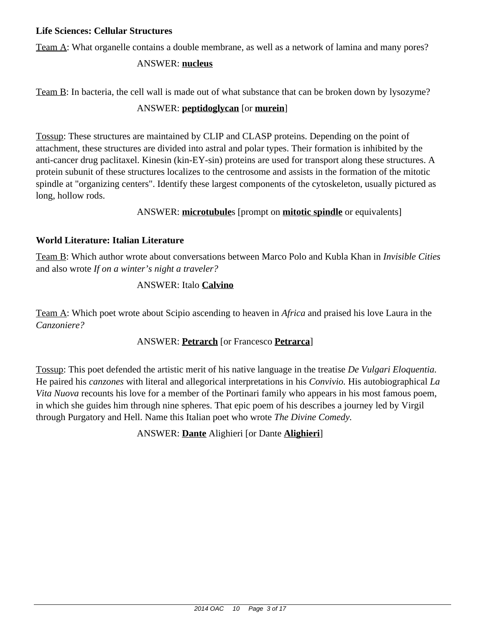### **Life Sciences: Cellular Structures**

Team A: What organelle contains a double membrane, as well as a network of lamina and many pores?

### ANSWER: **nucleus**

Team B: In bacteria, the cell wall is made out of what substance that can be broken down by lysozyme?

## ANSWER: **peptidoglycan** [or **murein**]

Tossup: These structures are maintained by CLIP and CLASP proteins. Depending on the point of attachment, these structures are divided into astral and polar types. Their formation is inhibited by the anti-cancer drug paclitaxel. Kinesin (kin-EY-sin) proteins are used for transport along these structures. A protein subunit of these structures localizes to the centrosome and assists in the formation of the mitotic spindle at "organizing centers". Identify these largest components of the cytoskeleton, usually pictured as long, hollow rods.

## ANSWER: **microtubule**s [prompt on **mitotic spindle** or equivalents]

## **World Literature: Italian Literature**

Team B: Which author wrote about conversations between Marco Polo and Kubla Khan in *Invisible Cities* and also wrote *If on a winter's night a traveler?*

## ANSWER: Italo **Calvino**

Team A: Which poet wrote about Scipio ascending to heaven in *Africa* and praised his love Laura in the *Canzoniere?*

## ANSWER: **Petrarch** [or Francesco **Petrarca**]

Tossup: This poet defended the artistic merit of his native language in the treatise *De Vulgari Eloquentia.* He paired his *canzones* with literal and allegorical interpretations in his *Convivio.* His autobiographical *La Vita Nuova* recounts his love for a member of the Portinari family who appears in his most famous poem, in which she guides him through nine spheres. That epic poem of his describes a journey led by Virgil through Purgatory and Hell. Name this Italian poet who wrote *The Divine Comedy.*

ANSWER: **Dante** Alighieri [or Dante **Alighieri**]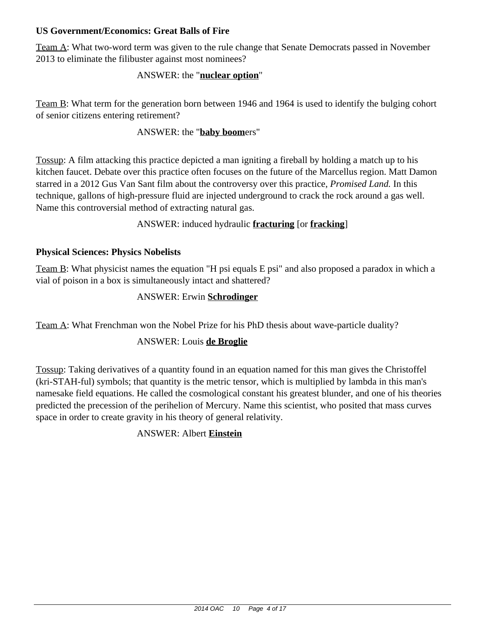## **US Government/Economics: Great Balls of Fire**

Team A: What two-word term was given to the rule change that Senate Democrats passed in November 2013 to eliminate the filibuster against most nominees?

## ANSWER: the "**nuclear option**"

Team B: What term for the generation born between 1946 and 1964 is used to identify the bulging cohort of senior citizens entering retirement?

## ANSWER: the "**baby boom**ers"

Tossup: A film attacking this practice depicted a man igniting a fireball by holding a match up to his kitchen faucet. Debate over this practice often focuses on the future of the Marcellus region. Matt Damon starred in a 2012 Gus Van Sant film about the controversy over this practice, *Promised Land.* In this technique, gallons of high-pressure fluid are injected underground to crack the rock around a gas well. Name this controversial method of extracting natural gas.

## ANSWER: induced hydraulic **fracturing** [or **fracking**]

## **Physical Sciences: Physics Nobelists**

Team B: What physicist names the equation "H psi equals E psi" and also proposed a paradox in which a vial of poison in a box is simultaneously intact and shattered?

## ANSWER: Erwin **Schrodinger**

Team A: What Frenchman won the Nobel Prize for his PhD thesis about wave-particle duality?

## ANSWER: Louis **de Broglie**

Tossup: Taking derivatives of a quantity found in an equation named for this man gives the Christoffel (kri-STAH-ful) symbols; that quantity is the metric tensor, which is multiplied by lambda in this man's namesake field equations. He called the cosmological constant his greatest blunder, and one of his theories predicted the precession of the perihelion of Mercury. Name this scientist, who posited that mass curves space in order to create gravity in his theory of general relativity.

## ANSWER: Albert **Einstein**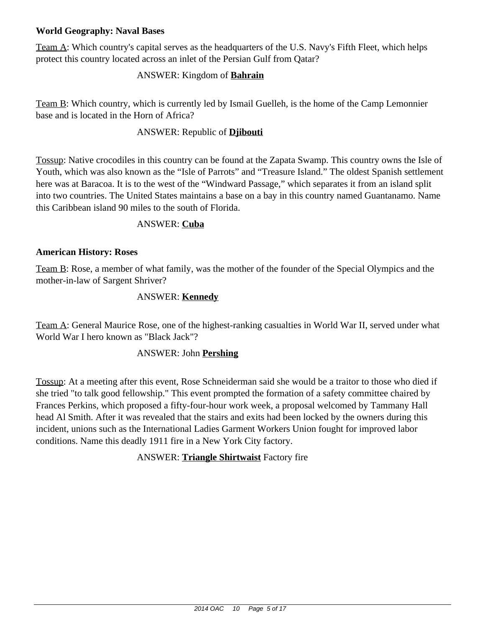## **World Geography: Naval Bases**

Team A: Which country's capital serves as the headquarters of the U.S. Navy's Fifth Fleet, which helps protect this country located across an inlet of the Persian Gulf from Qatar?

## ANSWER: Kingdom of **Bahrain**

Team B: Which country, which is currently led by Ismail Guelleh, is the home of the Camp Lemonnier base and is located in the Horn of Africa?

## ANSWER: Republic of **Djibouti**

Tossup: Native crocodiles in this country can be found at the Zapata Swamp. This country owns the Isle of Youth, which was also known as the "Isle of Parrots" and "Treasure Island." The oldest Spanish settlement here was at Baracoa. It is to the west of the "Windward Passage," which separates it from an island split into two countries. The United States maintains a base on a bay in this country named Guantanamo. Name this Caribbean island 90 miles to the south of Florida.

### ANSWER: **Cuba**

## **American History: Roses**

Team B: Rose, a member of what family, was the mother of the founder of the Special Olympics and the mother-in-law of Sargent Shriver?

## ANSWER: **Kennedy**

Team A: General Maurice Rose, one of the highest-ranking casualties in World War II, served under what World War I hero known as "Black Jack"?

## ANSWER: John **Pershing**

Tossup: At a meeting after this event, Rose Schneiderman said she would be a traitor to those who died if she tried "to talk good fellowship." This event prompted the formation of a safety committee chaired by Frances Perkins, which proposed a fifty-four-hour work week, a proposal welcomed by Tammany Hall head Al Smith. After it was revealed that the stairs and exits had been locked by the owners during this incident, unions such as the International Ladies Garment Workers Union fought for improved labor conditions. Name this deadly 1911 fire in a New York City factory.

ANSWER: **Triangle Shirtwaist** Factory fire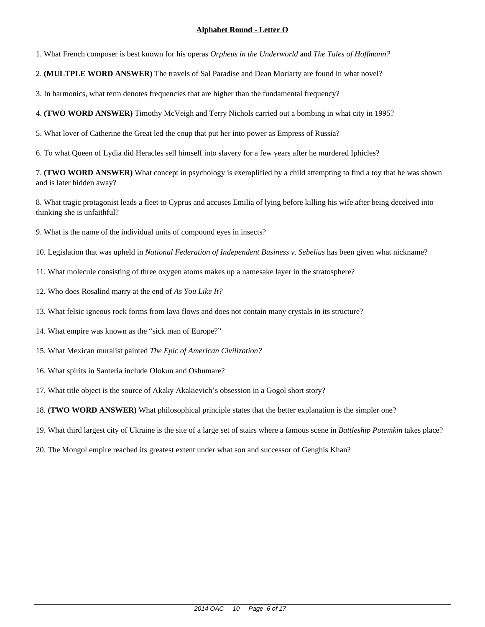1. What French composer is best known for his operas *Orpheus in the Underworld* and *The Tales of Hoffmann?*

2. **(MULTPLE WORD ANSWER)** The travels of Sal Paradise and Dean Moriarty are found in what novel?

3. In harmonics, what term denotes frequencies that are higher than the fundamental frequency?

4. **(TWO WORD ANSWER)** Timothy McVeigh and Terry Nichols carried out a bombing in what city in 1995?

5. What lover of Catherine the Great led the coup that put her into power as Empress of Russia?

6. To what Queen of Lydia did Heracles sell himself into slavery for a few years after he murdered Iphicles?

7. **(TWO WORD ANSWER)** What concept in psychology is exemplified by a child attempting to find a toy that he was shown and is later hidden away?

8. What tragic protagonist leads a fleet to Cyprus and accuses Emilia of lying before killing his wife after being deceived into thinking she is unfaithful?

9. What is the name of the individual units of compound eyes in insects?

10. Legislation that was upheld in *National Federation of Independent Business v. Sebelius* has been given what nickname?

11. What molecule consisting of three oxygen atoms makes up a namesake layer in the stratosphere?

12. Who does Rosalind marry at the end of *As You Like It?*

13. What felsic igneous rock forms from lava flows and does not contain many crystals in its structure?

14. What empire was known as the "sick man of Europe?"

15. What Mexican muralist painted *The Epic of American Civilization?*

16. What spirits in Santeria include Olokun and Oshumare?

17. What title object is the source of Akaky Akakievich's obsession in a Gogol short story?

18. **(TWO WORD ANSWER)** What philosophical principle states that the better explanation is the simpler one?

19. What third largest city of Ukraine is the site of a large set of stairs where a famous scene in *Battleship Potemkin* takes place?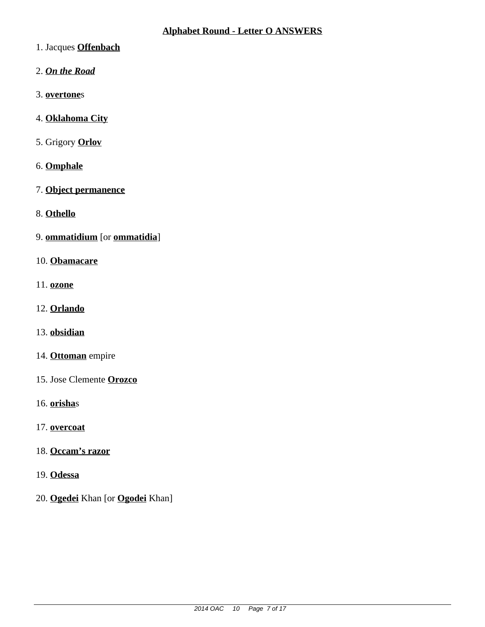- 1. Jacques **Offenbach**
- 2. *On the Road*
- 3. **overtone**s
- 4. **Oklahoma City**
- 5. Grigory **Orlov**
- 6. **Omphale**
- 7. **Object permanence**
- 8. **Othello**
- 9. **ommatidium** [or **ommatidia**]
- 10. **Obamacare**
- 11. **ozone**
- 12. **Orlando**
- 13. **obsidian**
- 14. **Ottoman** empire
- 15. Jose Clemente **Orozco**
- 16. **orisha**s
- 17. **overcoat**
- 18. **Occam's razor**
- 19. **Odessa**
- 20. **Ogedei** Khan [or **Ogodei** Khan]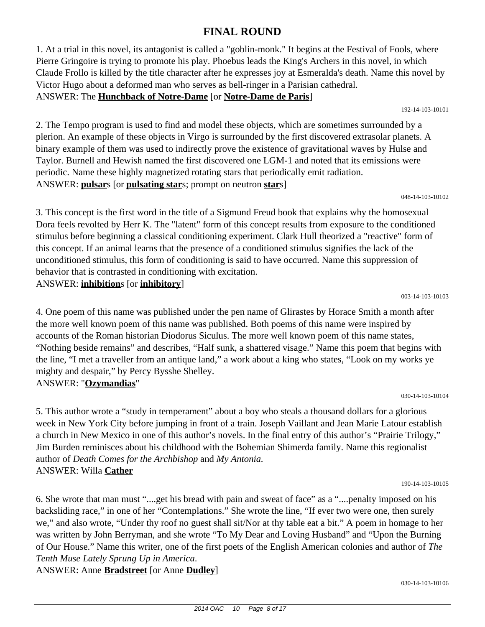# **FINAL ROUND**

1. At a trial in this novel, its antagonist is called a "goblin-monk." It begins at the Festival of Fools, where Pierre Gringoire is trying to promote his play. Phoebus leads the King's Archers in this novel, in which Claude Frollo is killed by the title character after he expresses joy at Esmeralda's death. Name this novel by Victor Hugo about a deformed man who serves as bell-ringer in a Parisian cathedral. ANSWER: The **Hunchback of Notre-Dame** [or **Notre-Dame de Paris**]

192-14-103-10101

2. The Tempo program is used to find and model these objects, which are sometimes surrounded by a plerion. An example of these objects in Virgo is surrounded by the first discovered extrasolar planets. A binary example of them was used to indirectly prove the existence of gravitational waves by Hulse and Taylor. Burnell and Hewish named the first discovered one LGM-1 and noted that its emissions were periodic. Name these highly magnetized rotating stars that periodically emit radiation. ANSWER: **pulsar**s [or **pulsating star**s; prompt on neutron **star**s]

048-14-103-10102

3. This concept is the first word in the title of a Sigmund Freud book that explains why the homosexual Dora feels revolted by Herr K. The "latent" form of this concept results from exposure to the conditioned stimulus before beginning a classical conditioning experiment. Clark Hull theorized a "reactive" form of this concept. If an animal learns that the presence of a conditioned stimulus signifies the lack of the unconditioned stimulus, this form of conditioning is said to have occurred. Name this suppression of behavior that is contrasted in conditioning with excitation. ANSWER: **inhibition**s [or **inhibitory**]

003-14-103-10103

4. One poem of this name was published under the pen name of Glirastes by Horace Smith a month after the more well known poem of this name was published. Both poems of this name were inspired by accounts of the Roman historian Diodorus Siculus. The more well known poem of this name states, "Nothing beside remains" and describes, "Half sunk, a shattered visage." Name this poem that begins with the line, "I met a traveller from an antique land," a work about a king who states, "Look on my works ye mighty and despair," by Percy Bysshe Shelley. ANSWER: "**Ozymandias**"

030-14-103-10104

5. This author wrote a "study in temperament" about a boy who steals a thousand dollars for a glorious week in New York City before jumping in front of a train. Joseph Vaillant and Jean Marie Latour establish a church in New Mexico in one of this author's novels. In the final entry of this author's "Prairie Trilogy," Jim Burden reminisces about his childhood with the Bohemian Shimerda family. Name this regionalist author of *Death Comes for the Archbishop* and *My Antonia.* ANSWER: Willa **Cather**

190-14-103-10105

6. She wrote that man must "....get his bread with pain and sweat of face" as a "....penalty imposed on his backsliding race," in one of her "Contemplations." She wrote the line, "If ever two were one, then surely we," and also wrote, "Under thy roof no guest shall sit/Nor at thy table eat a bit." A poem in homage to her was written by John Berryman, and she wrote "To My Dear and Loving Husband" and "Upon the Burning of Our House." Name this writer, one of the first poets of the English American colonies and author of *The Tenth Muse Lately Sprung Up in America*.

ANSWER: Anne **Bradstreet** [or Anne **Dudley**]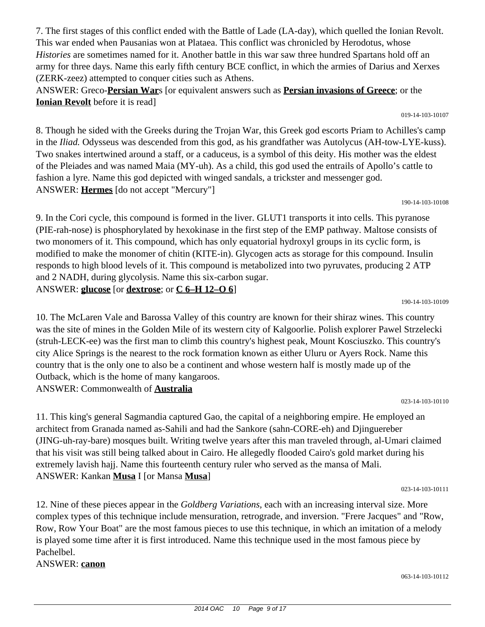7. The first stages of this conflict ended with the Battle of Lade (LA-day), which quelled the Ionian Revolt. This war ended when Pausanias won at Plataea. This conflict was chronicled by Herodotus, whose *Histories* are sometimes named for it. Another battle in this war saw three hundred Spartans hold off an army for three days. Name this early fifth century BCE conflict, in which the armies of Darius and Xerxes (ZERK-zeez) attempted to conquer cities such as Athens.

ANSWER: Greco-**Persian War**s [or equivalent answers such as **Persian invasions of Greece**; or the **Ionian Revolt** before it is read]

8. Though he sided with the Greeks during the Trojan War, this Greek god escorts Priam to Achilles's camp in the *Iliad.* Odysseus was descended from this god, as his grandfather was Autolycus (AH-tow-LYE-kuss). Two snakes intertwined around a staff, or a caduceus, is a symbol of this deity. His mother was the eldest of the Pleiades and was named Maia (MY-uh). As a child, this god used the entrails of Apollo's cattle to fashion a lyre. Name this god depicted with winged sandals, a trickster and messenger god. ANSWER: **Hermes** [do not accept "Mercury"]

190-14-103-10108

9. In the Cori cycle, this compound is formed in the liver. GLUT1 transports it into cells. This pyranose (PIE-rah-nose) is phosphorylated by hexokinase in the first step of the EMP pathway. Maltose consists of two monomers of it. This compound, which has only equatorial hydroxyl groups in its cyclic form, is modified to make the monomer of chitin (KITE-in). Glycogen acts as storage for this compound. Insulin responds to high blood levels of it. This compound is metabolized into two pyruvates, producing 2 ATP and 2 NADH, during glycolysis. Name this six-carbon sugar. ANSWER: **glucose** [or **dextrose**; or **C 6–H 12–O 6**]

190-14-103-10109

10. The McLaren Vale and Barossa Valley of this country are known for their shiraz wines. This country was the site of mines in the Golden Mile of its western city of Kalgoorlie. Polish explorer Pawel Strzelecki (struh-LECK-ee) was the first man to climb this country's highest peak, Mount Kosciuszko. This country's city Alice Springs is the nearest to the rock formation known as either Uluru or Ayers Rock. Name this country that is the only one to also be a continent and whose western half is mostly made up of the Outback, which is the home of many kangaroos. ANSWER: Commonwealth of **Australia**

023-14-103-10110

11. This king's general Sagmandia captured Gao, the capital of a neighboring empire. He employed an architect from Granada named as-Sahili and had the Sankore (sahn-CORE-eh) and Djinguereber (JING-uh-ray-bare) mosques built. Writing twelve years after this man traveled through, al-Umari claimed that his visit was still being talked about in Cairo. He allegedly flooded Cairo's gold market during his extremely lavish hajj. Name this fourteenth century ruler who served as the mansa of Mali. ANSWER: Kankan **Musa** I [or Mansa **Musa**]

023-14-103-10111

063-14-103-10112

12. Nine of these pieces appear in the *Goldberg Variations,* each with an increasing interval size. More complex types of this technique include mensuration, retrograde, and inversion. "Frere Jacques" and "Row, Row, Row Your Boat" are the most famous pieces to use this technique, in which an imitation of a melody is played some time after it is first introduced. Name this technique used in the most famous piece by Pachelbel.

ANSWER: **canon**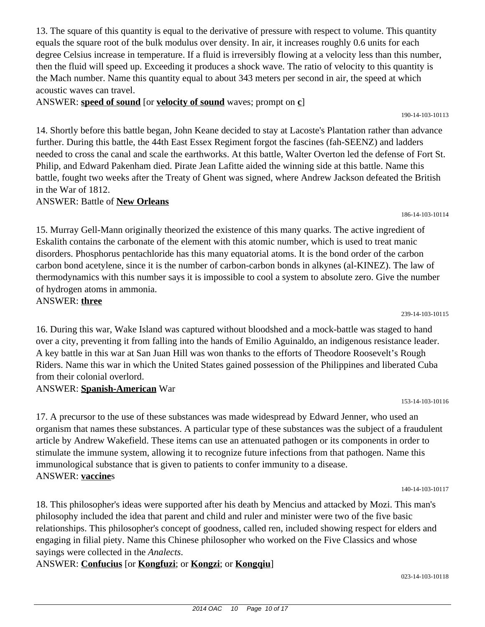13. The square of this quantity is equal to the derivative of pressure with respect to volume. This quantity equals the square root of the bulk modulus over density. In air, it increases roughly 0.6 units for each degree Celsius increase in temperature. If a fluid is irreversibly flowing at a velocity less than this number, then the fluid will speed up. Exceeding it produces a shock wave. The ratio of velocity to this quantity is the Mach number. Name this quantity equal to about 343 meters per second in air, the speed at which acoustic waves can travel.

ANSWER: **speed of sound** [or **velocity of sound** waves; prompt on **c**]

14. Shortly before this battle began, John Keane decided to stay at Lacoste's Plantation rather than advance further. During this battle, the 44th East Essex Regiment forgot the fascines (fah-SEENZ) and ladders needed to cross the canal and scale the earthworks. At this battle, Walter Overton led the defense of Fort St. Philip, and Edward Pakenham died. Pirate Jean Lafitte aided the winning side at this battle. Name this battle, fought two weeks after the Treaty of Ghent was signed, where Andrew Jackson defeated the British in the War of 1812.

ANSWER: Battle of **New Orleans**

15. Murray Gell-Mann originally theorized the existence of this many quarks. The active ingredient of Eskalith contains the carbonate of the element with this atomic number, which is used to treat manic disorders. Phosphorus pentachloride has this many equatorial atoms. It is the bond order of the carbon carbon bond acetylene, since it is the number of carbon-carbon bonds in alkynes (al-KINEZ). The law of thermodynamics with this number says it is impossible to cool a system to absolute zero. Give the number of hydrogen atoms in ammonia.

ANSWER: **three**

16. During this war, Wake Island was captured without bloodshed and a mock-battle was staged to hand over a city, preventing it from falling into the hands of Emilio Aguinaldo, an indigenous resistance leader. A key battle in this war at San Juan Hill was won thanks to the efforts of Theodore Roosevelt's Rough Riders. Name this war in which the United States gained possession of the Philippines and liberated Cuba from their colonial overlord.

## ANSWER: **Spanish-American** War

17. A precursor to the use of these substances was made widespread by Edward Jenner, who used an organism that names these substances. A particular type of these substances was the subject of a fraudulent article by Andrew Wakefield. These items can use an attenuated pathogen or its components in order to stimulate the immune system, allowing it to recognize future infections from that pathogen. Name this immunological substance that is given to patients to confer immunity to a disease. ANSWER: **vaccine**s

140-14-103-10117

18. This philosopher's ideas were supported after his death by Mencius and attacked by Mozi. This man's philosophy included the idea that parent and child and ruler and minister were two of the five basic relationships. This philosopher's concept of goodness, called ren, included showing respect for elders and engaging in filial piety. Name this Chinese philosopher who worked on the Five Classics and whose sayings were collected in the *Analects*.

ANSWER: **Confucius** [or **Kongfuzi**; or **Kongzi**; or **Kongqiu**]

186-14-103-10114

190-14-103-10113

239-14-103-10115

153-14-103-10116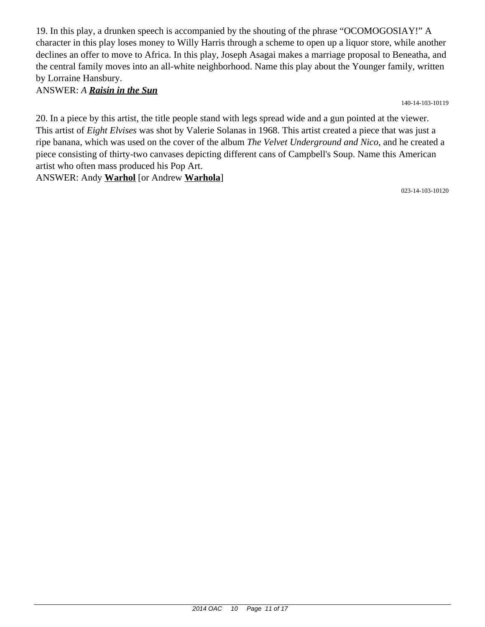19. In this play, a drunken speech is accompanied by the shouting of the phrase "OCOMOGOSIAY!" A character in this play loses money to Willy Harris through a scheme to open up a liquor store, while another declines an offer to move to Africa. In this play, Joseph Asagai makes a marriage proposal to Beneatha, and the central family moves into an all-white neighborhood. Name this play about the Younger family, written by Lorraine Hansbury.

ANSWER: *A Raisin in the Sun*

140-14-103-10119

20. In a piece by this artist, the title people stand with legs spread wide and a gun pointed at the viewer. This artist of *Eight Elvises* was shot by Valerie Solanas in 1968. This artist created a piece that was just a ripe banana, which was used on the cover of the album *The Velvet Underground and Nico,* and he created a piece consisting of thirty-two canvases depicting different cans of Campbell's Soup. Name this American artist who often mass produced his Pop Art.

ANSWER: Andy **Warhol** [or Andrew **Warhola**]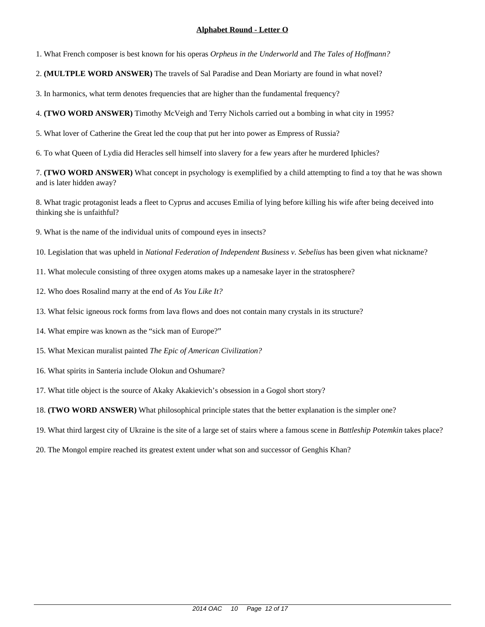1. What French composer is best known for his operas *Orpheus in the Underworld* and *The Tales of Hoffmann?*

2. **(MULTPLE WORD ANSWER)** The travels of Sal Paradise and Dean Moriarty are found in what novel?

3. In harmonics, what term denotes frequencies that are higher than the fundamental frequency?

4. **(TWO WORD ANSWER)** Timothy McVeigh and Terry Nichols carried out a bombing in what city in 1995?

5. What lover of Catherine the Great led the coup that put her into power as Empress of Russia?

6. To what Queen of Lydia did Heracles sell himself into slavery for a few years after he murdered Iphicles?

7. **(TWO WORD ANSWER)** What concept in psychology is exemplified by a child attempting to find a toy that he was shown and is later hidden away?

8. What tragic protagonist leads a fleet to Cyprus and accuses Emilia of lying before killing his wife after being deceived into thinking she is unfaithful?

9. What is the name of the individual units of compound eyes in insects?

10. Legislation that was upheld in *National Federation of Independent Business v. Sebelius* has been given what nickname?

11. What molecule consisting of three oxygen atoms makes up a namesake layer in the stratosphere?

12. Who does Rosalind marry at the end of *As You Like It?*

13. What felsic igneous rock forms from lava flows and does not contain many crystals in its structure?

14. What empire was known as the "sick man of Europe?"

15. What Mexican muralist painted *The Epic of American Civilization?*

16. What spirits in Santeria include Olokun and Oshumare?

17. What title object is the source of Akaky Akakievich's obsession in a Gogol short story?

18. **(TWO WORD ANSWER)** What philosophical principle states that the better explanation is the simpler one?

19. What third largest city of Ukraine is the site of a large set of stairs where a famous scene in *Battleship Potemkin* takes place?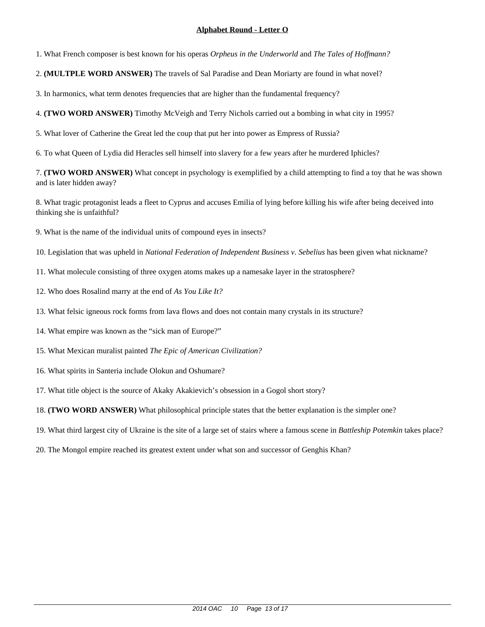1. What French composer is best known for his operas *Orpheus in the Underworld* and *The Tales of Hoffmann?*

2. **(MULTPLE WORD ANSWER)** The travels of Sal Paradise and Dean Moriarty are found in what novel?

3. In harmonics, what term denotes frequencies that are higher than the fundamental frequency?

4. **(TWO WORD ANSWER)** Timothy McVeigh and Terry Nichols carried out a bombing in what city in 1995?

5. What lover of Catherine the Great led the coup that put her into power as Empress of Russia?

6. To what Queen of Lydia did Heracles sell himself into slavery for a few years after he murdered Iphicles?

7. **(TWO WORD ANSWER)** What concept in psychology is exemplified by a child attempting to find a toy that he was shown and is later hidden away?

8. What tragic protagonist leads a fleet to Cyprus and accuses Emilia of lying before killing his wife after being deceived into thinking she is unfaithful?

9. What is the name of the individual units of compound eyes in insects?

10. Legislation that was upheld in *National Federation of Independent Business v. Sebelius* has been given what nickname?

11. What molecule consisting of three oxygen atoms makes up a namesake layer in the stratosphere?

12. Who does Rosalind marry at the end of *As You Like It?*

13. What felsic igneous rock forms from lava flows and does not contain many crystals in its structure?

14. What empire was known as the "sick man of Europe?"

15. What Mexican muralist painted *The Epic of American Civilization?*

16. What spirits in Santeria include Olokun and Oshumare?

17. What title object is the source of Akaky Akakievich's obsession in a Gogol short story?

18. **(TWO WORD ANSWER)** What philosophical principle states that the better explanation is the simpler one?

19. What third largest city of Ukraine is the site of a large set of stairs where a famous scene in *Battleship Potemkin* takes place?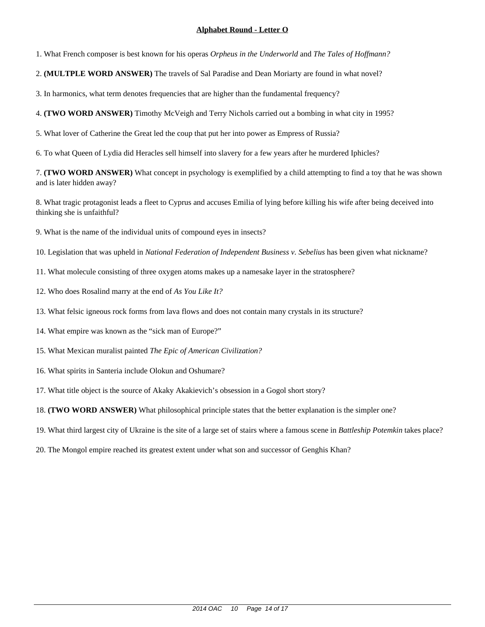1. What French composer is best known for his operas *Orpheus in the Underworld* and *The Tales of Hoffmann?*

2. **(MULTPLE WORD ANSWER)** The travels of Sal Paradise and Dean Moriarty are found in what novel?

3. In harmonics, what term denotes frequencies that are higher than the fundamental frequency?

4. **(TWO WORD ANSWER)** Timothy McVeigh and Terry Nichols carried out a bombing in what city in 1995?

5. What lover of Catherine the Great led the coup that put her into power as Empress of Russia?

6. To what Queen of Lydia did Heracles sell himself into slavery for a few years after he murdered Iphicles?

7. **(TWO WORD ANSWER)** What concept in psychology is exemplified by a child attempting to find a toy that he was shown and is later hidden away?

8. What tragic protagonist leads a fleet to Cyprus and accuses Emilia of lying before killing his wife after being deceived into thinking she is unfaithful?

9. What is the name of the individual units of compound eyes in insects?

10. Legislation that was upheld in *National Federation of Independent Business v. Sebelius* has been given what nickname?

11. What molecule consisting of three oxygen atoms makes up a namesake layer in the stratosphere?

12. Who does Rosalind marry at the end of *As You Like It?*

13. What felsic igneous rock forms from lava flows and does not contain many crystals in its structure?

14. What empire was known as the "sick man of Europe?"

15. What Mexican muralist painted *The Epic of American Civilization?*

16. What spirits in Santeria include Olokun and Oshumare?

17. What title object is the source of Akaky Akakievich's obsession in a Gogol short story?

18. **(TWO WORD ANSWER)** What philosophical principle states that the better explanation is the simpler one?

19. What third largest city of Ukraine is the site of a large set of stairs where a famous scene in *Battleship Potemkin* takes place?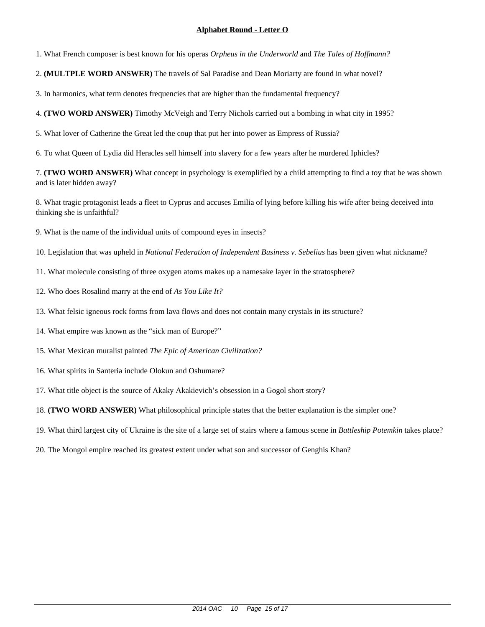1. What French composer is best known for his operas *Orpheus in the Underworld* and *The Tales of Hoffmann?*

2. **(MULTPLE WORD ANSWER)** The travels of Sal Paradise and Dean Moriarty are found in what novel?

3. In harmonics, what term denotes frequencies that are higher than the fundamental frequency?

4. **(TWO WORD ANSWER)** Timothy McVeigh and Terry Nichols carried out a bombing in what city in 1995?

5. What lover of Catherine the Great led the coup that put her into power as Empress of Russia?

6. To what Queen of Lydia did Heracles sell himself into slavery for a few years after he murdered Iphicles?

7. **(TWO WORD ANSWER)** What concept in psychology is exemplified by a child attempting to find a toy that he was shown and is later hidden away?

8. What tragic protagonist leads a fleet to Cyprus and accuses Emilia of lying before killing his wife after being deceived into thinking she is unfaithful?

9. What is the name of the individual units of compound eyes in insects?

10. Legislation that was upheld in *National Federation of Independent Business v. Sebelius* has been given what nickname?

11. What molecule consisting of three oxygen atoms makes up a namesake layer in the stratosphere?

12. Who does Rosalind marry at the end of *As You Like It?*

13. What felsic igneous rock forms from lava flows and does not contain many crystals in its structure?

14. What empire was known as the "sick man of Europe?"

15. What Mexican muralist painted *The Epic of American Civilization?*

16. What spirits in Santeria include Olokun and Oshumare?

17. What title object is the source of Akaky Akakievich's obsession in a Gogol short story?

18. **(TWO WORD ANSWER)** What philosophical principle states that the better explanation is the simpler one?

19. What third largest city of Ukraine is the site of a large set of stairs where a famous scene in *Battleship Potemkin* takes place?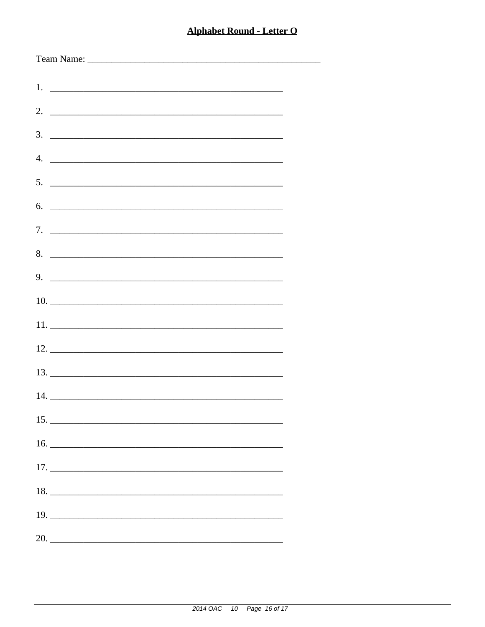| $\overline{4}$ .              |  |
|-------------------------------|--|
| $5.$ $\overline{\phantom{a}}$ |  |
| 6.                            |  |
|                               |  |
|                               |  |
| 8.                            |  |
| $9.$ $\overline{\phantom{a}}$ |  |
|                               |  |
|                               |  |
|                               |  |
|                               |  |
|                               |  |
|                               |  |
|                               |  |
| 15.                           |  |
|                               |  |
|                               |  |
|                               |  |
|                               |  |
|                               |  |
|                               |  |